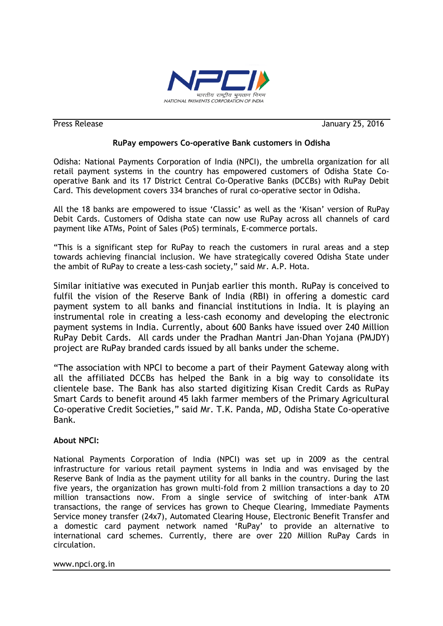

Press Release January 25, 2016

## **RuPay empowers Co-operative Bank customers in Odisha**

Odisha: National Payments Corporation of India (NPCI), the umbrella organization for all retail payment systems in the country has empowered customers of Odisha State Cooperative Bank and its 17 District Central Co-Operative Banks (DCCBs) with RuPay Debit Card. This development covers 334 branches of rural co-operative sector in Odisha.

All the 18 banks are empowered to issue "Classic" as well as the "Kisan" version of RuPay Debit Cards. Customers of Odisha state can now use RuPay across all channels of card payment like ATMs, Point of Sales (PoS) terminals, E-commerce portals.

"This is a significant step for RuPay to reach the customers in rural areas and a step towards achieving financial inclusion. We have strategically covered Odisha State under the ambit of RuPay to create a less-cash society," said Mr. A.P. Hota.

Similar initiative was executed in Punjab earlier this month. RuPay is conceived to fulfil the vision of the Reserve Bank of India (RBI) in offering a domestic card payment system to all banks and financial institutions in India. It is playing an instrumental role in creating a less-cash economy and developing the electronic payment systems in India. Currently, about 600 Banks have issued over 240 Million RuPay Debit Cards. All cards under the Pradhan Mantri Jan-Dhan Yojana (PMJDY) project are RuPay branded cards issued by all banks under the scheme.

"The association with NPCI to become a part of their Payment Gateway along with all the affiliated DCCBs has helped the Bank in a big way to consolidate its clientele base. The Bank has also started digitizing Kisan Credit Cards as RuPay Smart Cards to benefit around 45 lakh farmer members of the Primary Agricultural Co-operative Credit Societies," said Mr. T.K. Panda, MD, Odisha State Co-operative Bank.

## **About NPCI:**

National Payments Corporation of India (NPCI) was set up in 2009 as the central infrastructure for various retail payment systems in India and was envisaged by the Reserve Bank of India as the payment utility for all banks in the country. During the last five years, the organization has grown multi-fold from 2 million transactions a day to 20 million transactions now. From a single service of switching of inter-bank ATM transactions, the range of services has grown to Cheque Clearing, Immediate Payments Service money transfer (24x7), Automated Clearing House, Electronic Benefit Transfer and a domestic card payment network named "RuPay" to provide an alternative to international card schemes. Currently, there are over 220 Million RuPay Cards in circulation.

www.npci.org.in